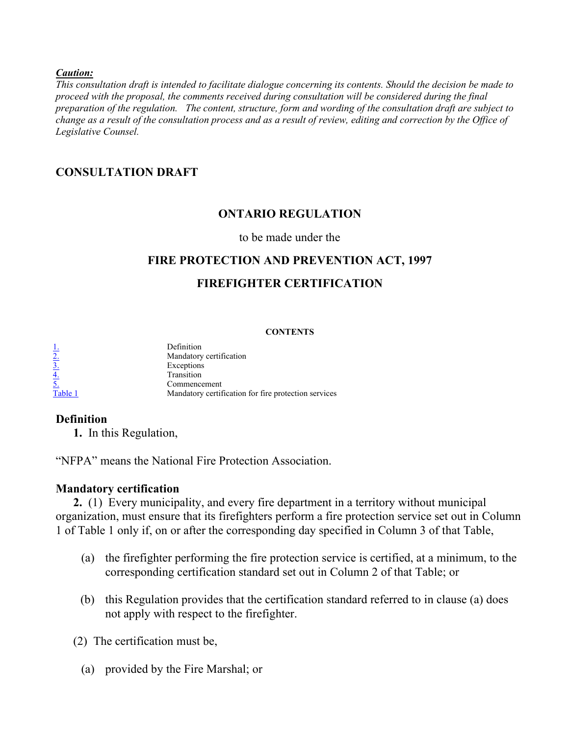#### *Caution:*

*This consultation draft is intended to facilitate dialogue concerning its contents. Should the decision be made to proceed with the proposal, the comments received during consultation will be considered during the final preparation of the regulation. The content, structure, form and wording of the consultation draft are subject to change as a result of the consultation process and as a result of review, editing and correction by the Office of Legislative Counsel.*

# **CONSULTATION DRAFT**

# **ONTARIO REGULATION**

#### to be made under the

### **FIRE PROTECTION AND PREVENTION ACT, 1997**

# **FIREFIGHTER CERTIFICATION**

#### **CONTENTS**

| <u>ı.</u> | Definition                                           |
|-----------|------------------------------------------------------|
| 2.        | Mandatory certification                              |
| <u>3.</u> | Exceptions                                           |
| <u>4.</u> | Transition                                           |
| 5.        | Commencement                                         |
| Table 1   | Mandatory certification for fire protection services |

#### **Definition**

<span id="page-0-0"></span>**1.** In this Regulation,

"NFPA" means the National Fire Protection Association.

#### **Mandatory certification**

<span id="page-0-1"></span>**2.** (1) Every municipality, and every fire department in a territory without municipal organization, must ensure that its firefighters perform a fire protection service set out in Column 1 of Table 1 only if, on or after the corresponding day specified in Column 3 of that Table,

- (a) the firefighter performing the fire protection service is certified, at a minimum, to the corresponding certification standard set out in Column 2 of that Table; or
- (b) this Regulation provides that the certification standard referred to in clause (a) does not apply with respect to the firefighter.

(2) The certification must be,

(a) provided by the Fire Marshal; or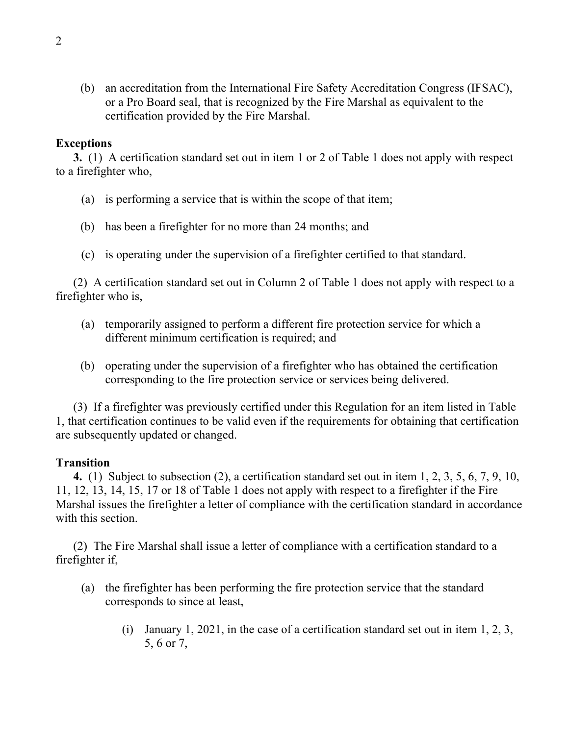(b) an accreditation from the International Fire Safety Accreditation Congress (IFSAC), or a Pro Board seal, that is recognized by the Fire Marshal as equivalent to the certification provided by the Fire Marshal.

### **Exceptions**

<span id="page-1-0"></span>**3.** (1) A certification standard set out in item 1 or 2 of Table 1 does not apply with respect to a firefighter who,

- (a) is performing a service that is within the scope of that item;
- (b) has been a firefighter for no more than 24 months; and
- (c) is operating under the supervision of a firefighter certified to that standard.

(2) A certification standard set out in Column 2 of Table 1 does not apply with respect to a firefighter who is,

- (a) temporarily assigned to perform a different fire protection service for which a different minimum certification is required; and
- (b) operating under the supervision of a firefighter who has obtained the certification corresponding to the fire protection service or services being delivered.

(3) If a firefighter was previously certified under this Regulation for an item listed in Table 1, that certification continues to be valid even if the requirements for obtaining that certification are subsequently updated or changed.

# **Transition**

<span id="page-1-1"></span>**4.** (1) Subject to subsection (2), a certification standard set out in item 1, 2, 3, 5, 6, 7, 9, 10, 11, 12, 13, 14, 15, 17 or 18 of Table 1 does not apply with respect to a firefighter if the Fire Marshal issues the firefighter a letter of compliance with the certification standard in accordance with this section.

(2) The Fire Marshal shall issue a letter of compliance with a certification standard to a firefighter if,

- (a) the firefighter has been performing the fire protection service that the standard corresponds to since at least,
	- (i) January 1, 2021, in the case of a certification standard set out in item 1, 2, 3, 5, 6 or 7,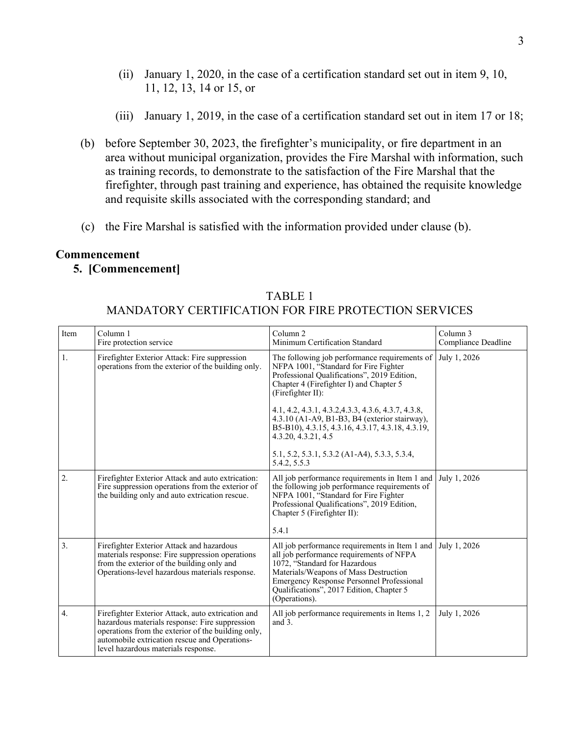- (ii) January 1, 2020, in the case of a certification standard set out in item 9, 10, 11, 12, 13, 14 or 15, or
- (iii) January 1, 2019, in the case of a certification standard set out in item 17 or 18;
- (b) before September 30, 2023, the firefighter's municipality, or fire department in an area without municipal organization, provides the Fire Marshal with information, such as training records, to demonstrate to the satisfaction of the Fire Marshal that the firefighter, through past training and experience, has obtained the requisite knowledge and requisite skills associated with the corresponding standard; and
- (c) the Fire Marshal is satisfied with the information provided under clause (b).

#### **Commencement**

### <span id="page-2-1"></span><span id="page-2-0"></span>**5. [Commencement]**

| Item | Column <sub>1</sub><br>Fire protection service                                                                                                                                                                                                    | Column <sub>2</sub><br>Minimum Certification Standard                                                                                                                                                                                                                          | Column <sub>3</sub><br>Compliance Deadline |
|------|---------------------------------------------------------------------------------------------------------------------------------------------------------------------------------------------------------------------------------------------------|--------------------------------------------------------------------------------------------------------------------------------------------------------------------------------------------------------------------------------------------------------------------------------|--------------------------------------------|
| 1.   | Firefighter Exterior Attack: Fire suppression<br>operations from the exterior of the building only.                                                                                                                                               | The following job performance requirements of<br>NFPA 1001, "Standard for Fire Fighter<br>Professional Qualifications", 2019 Edition,<br>Chapter 4 (Firefighter I) and Chapter 5<br>(Firefighter II):<br>4.1, 4.2, 4.3.1, 4.3.2, 4.3.3, 4.3.6, 4.3.7, 4.3.8,                   | July 1, 2026                               |
|      |                                                                                                                                                                                                                                                   | 4.3.10 (A1-A9, B1-B3, B4 (exterior stairway),<br>B5-B10), 4.3.15, 4.3.16, 4.3.17, 4.3.18, 4.3.19,<br>4.3.20, 4.3.21, 4.5                                                                                                                                                       |                                            |
|      |                                                                                                                                                                                                                                                   | 5.1, 5.2, 5.3.1, 5.3.2 (A1-A4), 5.3.3, 5.3.4,<br>5.4.2, 5.5.3                                                                                                                                                                                                                  |                                            |
| 2.   | Firefighter Exterior Attack and auto extrication:<br>Fire suppression operations from the exterior of<br>the building only and auto extrication rescue.                                                                                           | All job performance requirements in Item 1 and<br>the following job performance requirements of<br>NFPA 1001, "Standard for Fire Fighter<br>Professional Qualifications", 2019 Edition,<br>Chapter 5 (Firefighter II):                                                         | July 1, 2026                               |
|      |                                                                                                                                                                                                                                                   | 5.4.1                                                                                                                                                                                                                                                                          |                                            |
| 3.   | Firefighter Exterior Attack and hazardous<br>materials response: Fire suppression operations<br>from the exterior of the building only and<br>Operations-level hazardous materials response.                                                      | All job performance requirements in Item 1 and<br>all job performance requirements of NFPA<br>1072, "Standard for Hazardous<br>Materials/Weapons of Mass Destruction<br>Emergency Response Personnel Professional<br>Qualifications", 2017 Edition, Chapter 5<br>(Operations). | July 1, 2026                               |
| 4.   | Firefighter Exterior Attack, auto extrication and<br>hazardous materials response: Fire suppression<br>operations from the exterior of the building only,<br>automobile extrication rescue and Operations-<br>level hazardous materials response. | All job performance requirements in Items 1, 2<br>and $3$ .                                                                                                                                                                                                                    | July 1, 2026                               |

TABLE 1 MANDATORY CERTIFICATION FOR FIRE PROTECTION SERVICES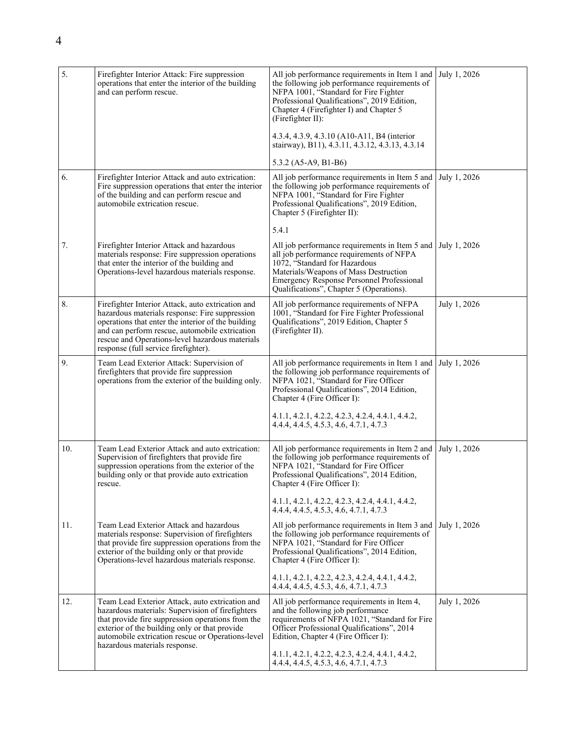| 5.  | Firefighter Interior Attack: Fire suppression<br>operations that enter the interior of the building<br>and can perform rescue.                                                                                                                                                                         | All job performance requirements in Item 1 and<br>the following job performance requirements of<br>NFPA 1001, "Standard for Fire Fighter<br>Professional Qualifications", 2019 Edition,<br>Chapter 4 (Firefighter I) and Chapter 5<br>(Firefighter II):                    | July 1, 2026 |
|-----|--------------------------------------------------------------------------------------------------------------------------------------------------------------------------------------------------------------------------------------------------------------------------------------------------------|----------------------------------------------------------------------------------------------------------------------------------------------------------------------------------------------------------------------------------------------------------------------------|--------------|
|     |                                                                                                                                                                                                                                                                                                        | 4.3.4, 4.3.9, 4.3.10 (A10-A11, B4 (interior<br>stairway), B11), 4.3.11, 4.3.12, 4.3.13, 4.3.14                                                                                                                                                                             |              |
|     |                                                                                                                                                                                                                                                                                                        | 5.3.2 $(A5-A9, B1-B6)$                                                                                                                                                                                                                                                     |              |
| 6.  | Firefighter Interior Attack and auto extrication:<br>Fire suppression operations that enter the interior<br>of the building and can perform rescue and<br>automobile extrication rescue.                                                                                                               | All job performance requirements in Item 5 and<br>the following job performance requirements of<br>NFPA 1001, "Standard for Fire Fighter<br>Professional Qualifications", 2019 Edition,<br>Chapter 5 (Firefighter II):                                                     | July 1, 2026 |
|     |                                                                                                                                                                                                                                                                                                        | 5.4.1                                                                                                                                                                                                                                                                      |              |
| 7.  | Firefighter Interior Attack and hazardous<br>materials response: Fire suppression operations<br>that enter the interior of the building and<br>Operations-level hazardous materials response.                                                                                                          | All job performance requirements in Item 5 and<br>all job performance requirements of NFPA<br>1072, "Standard for Hazardous<br>Materials/Weapons of Mass Destruction<br>Emergency Response Personnel Professional<br>Qualifications", Chapter 5 (Operations).              | July 1, 2026 |
| 8.  | Firefighter Interior Attack, auto extrication and<br>hazardous materials response: Fire suppression<br>operations that enter the interior of the building<br>and can perform rescue, automobile extrication<br>rescue and Operations-level hazardous materials<br>response (full service firefighter). | All job performance requirements of NFPA<br>1001, "Standard for Fire Fighter Professional<br>Qualifications", 2019 Edition, Chapter 5<br>(Firefighter II).                                                                                                                 | July 1, 2026 |
| 9.  | Team Lead Exterior Attack: Supervision of<br>firefighters that provide fire suppression<br>operations from the exterior of the building only.                                                                                                                                                          | All job performance requirements in Item 1 and<br>the following job performance requirements of<br>NFPA 1021, "Standard for Fire Officer<br>Professional Qualifications", 2014 Edition,<br>Chapter 4 (Fire Officer I):<br>4.1.1, 4.2.1, 4.2.2, 4.2.3, 4.2.4, 4.4.1, 4.4.2, | July 1, 2026 |
|     |                                                                                                                                                                                                                                                                                                        | 4.4.4, 4.4.5, 4.5.3, 4.6, 4.7.1, 4.7.3                                                                                                                                                                                                                                     |              |
| 10. | Team Lead Exterior Attack and auto extrication:<br>Supervision of firefighters that provide fire<br>suppression operations from the exterior of the<br>building only or that provide auto extrication<br>rescue.                                                                                       | All job performance requirements in Item 2 and<br>the following job performance requirements of<br>NFPA 1021, "Standard for Fire Officer<br>Professional Qualifications", 2014 Edition,<br>Chapter 4 (Fire Officer I):                                                     | July 1, 2026 |
|     |                                                                                                                                                                                                                                                                                                        | 4.1.1, 4.2.1, 4.2.2, 4.2.3, 4.2.4, 4.4.1, 4.4.2,<br>4.4.4, 4.4.5, 4.5.3, 4.6, 4.7.1, 4.7.3                                                                                                                                                                                 |              |
| 11. | Team Lead Exterior Attack and hazardous<br>materials response: Supervision of firefighters<br>that provide fire suppression operations from the<br>exterior of the building only or that provide<br>Operations-level hazardous materials response.                                                     | All job performance requirements in Item 3 and<br>the following job performance requirements of<br>NFPA 1021, "Standard for Fire Officer<br>Professional Qualifications", 2014 Edition,<br>Chapter 4 (Fire Officer I):                                                     | July 1, 2026 |
|     |                                                                                                                                                                                                                                                                                                        | 4.1.1, 4.2.1, 4.2.2, 4.2.3, 4.2.4, 4.4.1, 4.4.2,<br>4.4.4, 4.4.5, 4.5.3, 4.6, 4.7.1, 4.7.3                                                                                                                                                                                 |              |
| 12. | Team Lead Exterior Attack, auto extrication and<br>hazardous materials: Supervision of firefighters<br>that provide fire suppression operations from the<br>exterior of the building only or that provide<br>automobile extrication rescue or Operations-level<br>hazardous materials response.        | All job performance requirements in Item 4,<br>and the following job performance<br>requirements of NFPA 1021, "Standard for Fire<br>Officer Professional Qualifications", 2014<br>Edition, Chapter 4 (Fire Officer I):                                                    | July 1, 2026 |
|     |                                                                                                                                                                                                                                                                                                        | 4.1.1, 4.2.1, 4.2.2, 4.2.3, 4.2.4, 4.4.1, 4.4.2,<br>4.4.4, 4.4.5, 4.5.3, 4.6, 4.7.1, 4.7.3                                                                                                                                                                                 |              |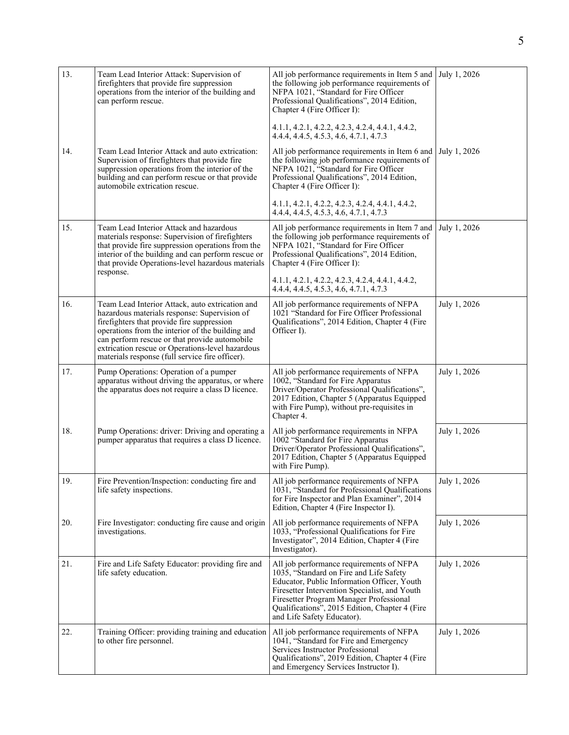| 13. | Team Lead Interior Attack: Supervision of<br>firefighters that provide fire suppression<br>operations from the interior of the building and<br>can perform rescue.                                                                                                                                                                                        | All job performance requirements in Item 5 and<br>the following job performance requirements of<br>NFPA 1021, "Standard for Fire Officer<br>Professional Qualifications", 2014 Edition,<br>Chapter 4 (Fire Officer I):                                                                                         | July 1, 2026 |
|-----|-----------------------------------------------------------------------------------------------------------------------------------------------------------------------------------------------------------------------------------------------------------------------------------------------------------------------------------------------------------|----------------------------------------------------------------------------------------------------------------------------------------------------------------------------------------------------------------------------------------------------------------------------------------------------------------|--------------|
|     |                                                                                                                                                                                                                                                                                                                                                           | 4.1.1, 4.2.1, 4.2.2, 4.2.3, 4.2.4, 4.4.1, 4.4.2,<br>4.4.4, 4.4.5, 4.5.3, 4.6, 4.7.1, 4.7.3                                                                                                                                                                                                                     |              |
| 14. | Team Lead Interior Attack and auto extrication:<br>Supervision of firefighters that provide fire<br>suppression operations from the interior of the<br>building and can perform rescue or that provide<br>automobile extrication rescue.                                                                                                                  | All job performance requirements in Item 6 and<br>the following job performance requirements of<br>NFPA 1021, "Standard for Fire Officer<br>Professional Qualifications", 2014 Edition,<br>Chapter 4 (Fire Officer I):                                                                                         | July 1, 2026 |
|     |                                                                                                                                                                                                                                                                                                                                                           | 4.1.1, 4.2.1, 4.2.2, 4.2.3, 4.2.4, 4.4.1, 4.4.2,<br>4.4.4, 4.4.5, 4.5.3, 4.6, 4.7.1, 4.7.3                                                                                                                                                                                                                     |              |
| 15. | Team Lead Interior Attack and hazardous<br>materials response: Supervision of firefighters<br>that provide fire suppression operations from the<br>interior of the building and can perform rescue or<br>that provide Operations-level hazardous materials<br>response.                                                                                   | All job performance requirements in Item 7 and<br>the following job performance requirements of<br>NFPA 1021, "Standard for Fire Officer<br>Professional Qualifications", 2014 Edition,<br>Chapter 4 (Fire Officer I):                                                                                         | July 1, 2026 |
|     |                                                                                                                                                                                                                                                                                                                                                           | 4.1.1, 4.2.1, 4.2.2, 4.2.3, 4.2.4, 4.4.1, 4.4.2,<br>4.4.4, 4.4.5, 4.5.3, 4.6, 4.7.1, 4.7.3                                                                                                                                                                                                                     |              |
| 16. | Team Lead Interior Attack, auto extrication and<br>hazardous materials response: Supervision of<br>firefighters that provide fire suppression<br>operations from the interior of the building and<br>can perform rescue or that provide automobile<br>extrication rescue or Operations-level hazardous<br>materials response (full service fire officer). | All job performance requirements of NFPA<br>1021 "Standard for Fire Officer Professional<br>Qualifications", 2014 Edition, Chapter 4 (Fire<br>Officer I).                                                                                                                                                      | July 1, 2026 |
| 17. | Pump Operations: Operation of a pumper<br>apparatus without driving the apparatus, or where<br>the apparatus does not require a class D licence.                                                                                                                                                                                                          | All job performance requirements of NFPA<br>1002, "Standard for Fire Apparatus<br>Driver/Operator Professional Qualifications",<br>2017 Edition, Chapter 5 (Apparatus Equipped<br>with Fire Pump), without pre-requisites in<br>Chapter 4.                                                                     | July 1, 2026 |
| 18. | Pump Operations: driver: Driving and operating a<br>pumper apparatus that requires a class D licence.                                                                                                                                                                                                                                                     | All job performance requirements in NFPA<br>1002 "Standard for Fire Apparatus<br>Driver/Operator Professional Qualifications",<br>2017 Edition, Chapter 5 (Apparatus Equipped<br>with Fire Pump).                                                                                                              | July 1, 2026 |
| 19. | Fire Prevention/Inspection: conducting fire and<br>life safety inspections.                                                                                                                                                                                                                                                                               | All job performance requirements of NFPA<br>1031, "Standard for Professional Qualifications<br>for Fire Inspector and Plan Examiner", 2014<br>Edition, Chapter 4 (Fire Inspector I).                                                                                                                           | July 1, 2026 |
| 20. | Fire Investigator: conducting fire cause and origin<br>investigations.                                                                                                                                                                                                                                                                                    | All job performance requirements of NFPA<br>1033, "Professional Qualifications for Fire<br>Investigator", 2014 Edition, Chapter 4 (Fire<br>Investigator).                                                                                                                                                      | July 1, 2026 |
| 21. | Fire and Life Safety Educator: providing fire and<br>life safety education.                                                                                                                                                                                                                                                                               | All job performance requirements of NFPA<br>1035, "Standard on Fire and Life Safety<br>Educator, Public Information Officer, Youth<br>Firesetter Intervention Specialist, and Youth<br>Firesetter Program Manager Professional<br>Qualifications", 2015 Edition, Chapter 4 (Fire<br>and Life Safety Educator). | July 1, 2026 |
| 22. | Training Officer: providing training and education<br>to other fire personnel.                                                                                                                                                                                                                                                                            | All job performance requirements of NFPA<br>1041, "Standard for Fire and Emergency<br>Services Instructor Professional<br>Qualifications", 2019 Edition, Chapter 4 (Fire<br>and Emergency Services Instructor I).                                                                                              | July 1, 2026 |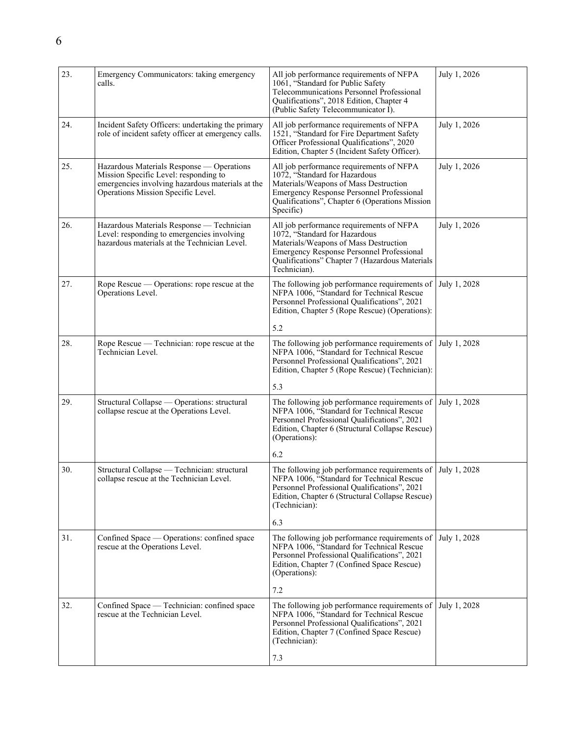| 23. | Emergency Communicators: taking emergency<br>calls.                                                                                                                          | All job performance requirements of NFPA<br>1061, "Standard for Public Safety<br>Telecommunications Personnel Professional<br>Qualifications", 2018 Edition, Chapter 4<br>(Public Safety Telecommunicator I).                            | July 1, 2026 |
|-----|------------------------------------------------------------------------------------------------------------------------------------------------------------------------------|------------------------------------------------------------------------------------------------------------------------------------------------------------------------------------------------------------------------------------------|--------------|
| 24. | Incident Safety Officers: undertaking the primary<br>role of incident safety officer at emergency calls.                                                                     | All job performance requirements of NFPA<br>1521, "Standard for Fire Department Safety<br>Officer Professional Qualifications", 2020<br>Edition, Chapter 5 (Incident Safety Officer).                                                    | July 1, 2026 |
| 25. | Hazardous Materials Response — Operations<br>Mission Specific Level: responding to<br>emergencies involving hazardous materials at the<br>Operations Mission Specific Level. | All job performance requirements of NFPA<br>1072, "Standard for Hazardous<br>Materials/Weapons of Mass Destruction<br><b>Emergency Response Personnel Professional</b><br>Qualifications", Chapter 6 (Operations Mission<br>Specific)    | July 1, 2026 |
| 26. | Hazardous Materials Response - Technician<br>Level: responding to emergencies involving<br>hazardous materials at the Technician Level.                                      | All job performance requirements of NFPA<br>1072, "Standard for Hazardous<br>Materials/Weapons of Mass Destruction<br><b>Emergency Response Personnel Professional</b><br>Qualifications" Chapter 7 (Hazardous Materials<br>Technician). | July 1, 2026 |
| 27. | Rope Rescue — Operations: rope rescue at the<br>Operations Level.                                                                                                            | The following job performance requirements of<br>NFPA 1006, "Standard for Technical Rescue<br>Personnel Professional Qualifications", 2021<br>Edition, Chapter 5 (Rope Rescue) (Operations):<br>5.2                                      | July 1, 2028 |
| 28. | Rope Rescue — Technician: rope rescue at the<br>Technician Level.                                                                                                            | The following job performance requirements of<br>NFPA 1006, "Standard for Technical Rescue<br>Personnel Professional Qualifications", 2021<br>Edition, Chapter 5 (Rope Rescue) (Technician):                                             | July 1, 2028 |
|     |                                                                                                                                                                              | 5.3                                                                                                                                                                                                                                      |              |
| 29. | Structural Collapse — Operations: structural<br>collapse rescue at the Operations Level.                                                                                     | The following job performance requirements of<br>NFPA 1006, "Standard for Technical Rescue<br>Personnel Professional Qualifications", 2021<br>Edition, Chapter 6 (Structural Collapse Rescue)<br>(Operations):                           | July 1, 2028 |
|     |                                                                                                                                                                              | 6.2                                                                                                                                                                                                                                      |              |
| 30. | Structural Collapse - Technician: structural<br>collapse rescue at the Technician Level.                                                                                     | The following job performance requirements of<br>NFPA 1006, "Standard for Technical Rescue<br>Personnel Professional Qualifications", 2021<br>Edition, Chapter 6 (Structural Collapse Rescue)<br>(Technician):                           | July 1, 2028 |
|     |                                                                                                                                                                              | 6.3                                                                                                                                                                                                                                      |              |
| 31. | Confined Space — Operations: confined space<br>rescue at the Operations Level.                                                                                               | The following job performance requirements of<br>NFPA 1006, "Standard for Technical Rescue<br>Personnel Professional Qualifications", 2021<br>Edition, Chapter 7 (Confined Space Rescue)<br>(Operations):                                | July 1, 2028 |
|     |                                                                                                                                                                              | 7.2                                                                                                                                                                                                                                      |              |
| 32. | Confined Space — Technician: confined space<br>rescue at the Technician Level.                                                                                               | The following job performance requirements of<br>NFPA 1006, "Standard for Technical Rescue<br>Personnel Professional Qualifications", 2021<br>Edition, Chapter 7 (Confined Space Rescue)<br>(Technician):                                | July 1, 2028 |
|     |                                                                                                                                                                              | 7.3                                                                                                                                                                                                                                      |              |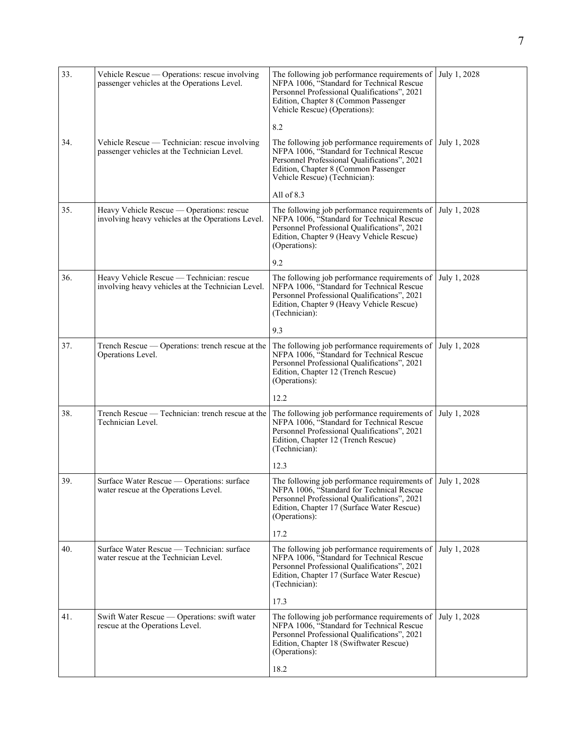| 33. | Vehicle Rescue — Operations: rescue involving<br>passenger vehicles at the Operations Level.   | The following job performance requirements of<br>NFPA 1006, "Standard for Technical Rescue<br>Personnel Professional Qualifications", 2021<br>Edition, Chapter 8 (Common Passenger<br>Vehicle Rescue) (Operations):        | July 1, 2028 |
|-----|------------------------------------------------------------------------------------------------|----------------------------------------------------------------------------------------------------------------------------------------------------------------------------------------------------------------------------|--------------|
|     |                                                                                                | 8.2                                                                                                                                                                                                                        |              |
| 34. | Vehicle Rescue - Technician: rescue involving<br>passenger vehicles at the Technician Level.   | The following job performance requirements of<br>NFPA 1006, "Standard for Technical Rescue<br>Personnel Professional Qualifications", 2021<br>Edition, Chapter 8 (Common Passenger<br>Vehicle Rescue) (Technician):        | July 1, 2028 |
|     |                                                                                                | All of 8.3                                                                                                                                                                                                                 |              |
| 35. | Heavy Vehicle Rescue - Operations: rescue<br>involving heavy vehicles at the Operations Level. | The following job performance requirements of<br>NFPA 1006, "Standard for Technical Rescue<br>Personnel Professional Qualifications", 2021<br>Edition, Chapter 9 (Heavy Vehicle Rescue)<br>(Operations):                   | July 1, 2028 |
|     |                                                                                                | 9.2                                                                                                                                                                                                                        |              |
| 36. | Heavy Vehicle Rescue - Technician: rescue<br>involving heavy vehicles at the Technician Level. | The following job performance requirements of<br>NFPA 1006, "Standard for Technical Rescue<br>Personnel Professional Qualifications", 2021<br>Edition, Chapter 9 (Heavy Vehicle Rescue)<br>(Technician):                   | July 1, 2028 |
|     |                                                                                                | 9.3                                                                                                                                                                                                                        |              |
| 37. | Trench Rescue — Operations: trench rescue at the<br>Operations Level.                          | The following job performance requirements of<br>NFPA 1006, "Standard for Technical Rescue<br>Personnel Professional Qualifications", 2021<br>Edition, Chapter 12 (Trench Rescue)<br>(Operations):                         | July 1, 2028 |
|     |                                                                                                | 12.2                                                                                                                                                                                                                       |              |
| 38. | Trench Rescue — Technician: trench rescue at the<br>Technician Level.                          | The following job performance requirements of<br>NFPA 1006, "Standard for Technical Rescue<br>Personnel Professional Qualifications", 2021<br>Edition, Chapter 12 (Trench Rescue)<br>(Technician):                         | July 1, 2028 |
|     |                                                                                                | 12.3                                                                                                                                                                                                                       |              |
| 39. | Surface Water Rescue - Operations: surface<br>water rescue at the Operations Level.            | The following job performance requirements of $ $ July 1, 2028<br>NFPA 1006, "Standard for Technical Rescue<br>Personnel Professional Qualifications", 2021<br>Edition, Chapter 17 (Surface Water Rescue)<br>(Operations): |              |
|     |                                                                                                | 17.2                                                                                                                                                                                                                       |              |
| 40. | Surface Water Rescue — Technician: surface<br>water rescue at the Technician Level.            | The following job performance requirements of<br>NFPA 1006, "Standard for Technical Rescue<br>Personnel Professional Qualifications", 2021<br>Edition, Chapter 17 (Surface Water Rescue)<br>(Technician):                  | July 1, 2028 |
|     |                                                                                                | 17.3                                                                                                                                                                                                                       |              |
| 41. | Swift Water Rescue — Operations: swift water<br>rescue at the Operations Level.                | The following job performance requirements of<br>NFPA 1006, "Standard for Technical Rescue<br>Personnel Professional Qualifications", 2021<br>Edition, Chapter 18 (Swiftwater Rescue)<br>(Operations):                     | July 1, 2028 |
|     |                                                                                                | 18.2                                                                                                                                                                                                                       |              |